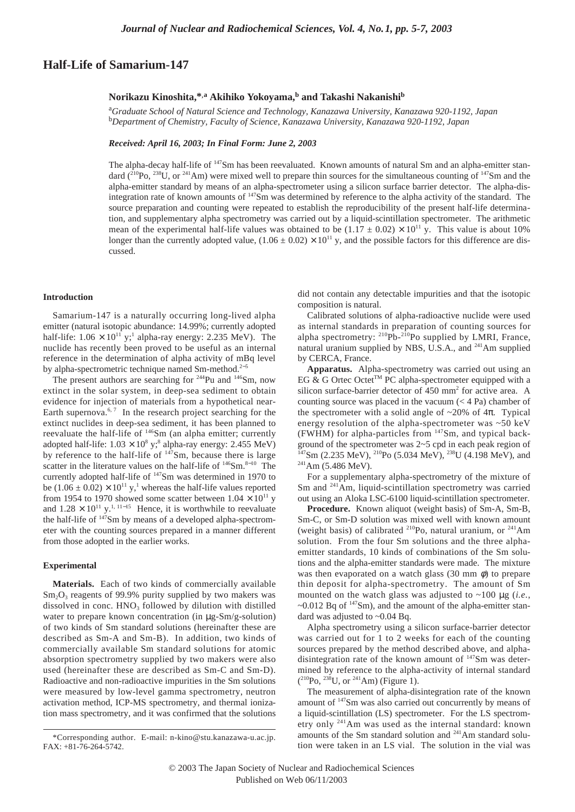# **Half-Life of Samarium-147**

## **Norikazu Kinoshita,\*,a Akihiko Yokoyama,b and Takashi Nakanishi<sup>b</sup>**

a *Graduate School of Natural Science and Technology, Kanazawa University, Kanazawa 920-1192, Japan* b *Department of Chemistry, Faculty of Science, Kanazawa University, Kanazawa 920-1192, Japan*

*Received: April 16, 2003; In Final Form: June 2, 2003*

The alpha-decay half-life of <sup>147</sup>Sm has been reevaluated. Known amounts of natural Sm and an alpha-emitter standard  $(2^{10}Po, 2^{38}U, or 2^{41}Am)$  were mixed well to prepare thin sources for the simultaneous counting of  $147Sm$  and the alpha-emitter standard by means of an alpha-spectrometer using a silicon surface barrier detector. The alpha-disintegration rate of known amounts of 147Sm was determined by reference to the alpha activity of the standard. The source preparation and counting were repeated to establish the reproducibility of the present half-life determination, and supplementary alpha spectrometry was carried out by a liquid-scintillation spectrometer. The arithmetic mean of the experimental half-life values was obtained to be  $(1.17 \pm 0.02) \times 10^{11}$  y. This value is about 10% longer than the currently adopted value,  $(1.06 \pm 0.02) \times 10^{11}$  y, and the possible factors for this difference are discussed.

#### **Introduction**

Samarium-147 is a naturally occurring long-lived alpha emitter (natural isotopic abundance: 14.99%; currently adopted half-life:  $1.06 \times 10^{11}$  y;<sup>1</sup> alpha-ray energy: 2.235 MeV). The nuclide has recently been proved to be useful as an internal reference in the determination of alpha activity of mBq level by alpha-spectrometric technique named Sm-method.<sup>2−5</sup>

The present authors are searching for <sup>244</sup>Pu and <sup>146</sup>Sm, now extinct in the solar system, in deep-sea sediment to obtain evidence for injection of materials from a hypothetical near-Earth supernova. $6, 7$  In the research project searching for the extinct nuclides in deep-sea sediment, it has been planned to reevaluate the half-life of <sup>146</sup>Sm (an alpha emitter; currently adopted half-life:  $1.03 \times 10^8$  y;<sup>8</sup> alpha-ray energy: 2.455 MeV) by reference to the half-life of  $147$ Sm, because there is large scatter in the literature values on the half-life of <sup>146</sup>Sm.<sup>8−10</sup> The currently adopted half-life of 147Sm was determined in 1970 to be  $(1.06 \pm 0.02) \times 10^{11}$  y,<sup>1</sup> whereas the half-life values reported from 1954 to 1970 showed some scatter between  $1.04 \times 10^{11}$  y and  $1.28 \times 10^{11}$  y.<sup>1, 11–15</sup> Hence, it is worthwhile to reevaluate the half-life of  $147$ Sm by means of a developed alpha-spectrometer with the counting sources prepared in a manner different from those adopted in the earlier works.

### **Experimental**

**Materials.** Each of two kinds of commercially available  $Sm<sub>2</sub>O<sub>3</sub>$  reagents of 99.9% purity supplied by two makers was dissolved in conc.  $HNO<sub>3</sub>$  followed by dilution with distilled water to prepare known concentration (in  $\mu$ g-Sm/g-solution) of two kinds of Sm standard solutions (hereinafter these are described as Sm-A and Sm-B). In addition, two kinds of commercially available Sm standard solutions for atomic absorption spectrometry supplied by two makers were also used (hereinafter these are described as Sm-C and Sm-D). Radioactive and non-radioactive impurities in the Sm solutions were measured by low-level gamma spectrometry, neutron activation method, ICP-MS spectrometry, and thermal ionization mass spectrometry, and it was confirmed that the solutions

did not contain any detectable impurities and that the isotopic composition is natural.

Calibrated solutions of alpha-radioactive nuclide were used as internal standards in preparation of counting sources for alpha spectrometry:  $^{210}Pb^{-210}Po$  supplied by LMRI, France, natural uranium supplied by NBS, U.S.A., and <sup>241</sup>Am supplied by CERCA, France.

**Apparatus.** Alpha-spectrometry was carried out using an EG & G Ortec Octet™ PC alpha-spectrometer equipped with a silicon surface-barrier detector of 450 mm<sup>2</sup> for active area. A counting source was placed in the vacuum  $(< 4$  Pa) chamber of the spectrometer with a solid angle of  $\sim 20\%$  of  $4\pi$ . Typical energy resolution of the alpha-spectrometer was ~50 keV (FWHM) for alpha-particles from 147Sm, and typical background of the spectrometer was 2~5 cpd in each peak region of  $147$ Sm (2.235 MeV),  $210$ Po (5.034 MeV),  $238$ U (4.198 MeV), and  $^{241}$ Am (5.486 MeV).

For a supplementary alpha-spectrometry of the mixture of Sm and <sup>241</sup>Am, liquid-scintillation spectrometry was carried out using an Aloka LSC-6100 liquid-scintillation spectrometer.

**Procedure.** Known aliquot (weight basis) of Sm-A, Sm-B, Sm-C, or Sm-D solution was mixed well with known amount (weight basis) of calibrated <sup>210</sup>Po, natural uranium, or <sup>241</sup>Am solution. From the four Sm solutions and the three alphaemitter standards, 10 kinds of combinations of the Sm solutions and the alpha-emitter standards were made. The mixture was then evaporated on a watch glass (30 mm  $\phi$ ) to prepare thin deposit for alpha-spectrometry. The amount of Sm mounted on the watch glass was adjusted to ~100 µg (*i.e.*,  $\sim$ 0.012 Bq of  $147$ Sm), and the amount of the alpha-emitter standard was adjusted to ~0.04 Bq.

Alpha spectrometry using a silicon surface-barrier detector was carried out for 1 to 2 weeks for each of the counting sources prepared by the method described above, and alphadisintegration rate of the known amount of <sup>147</sup>Sm was determined by reference to the alpha-activity of internal standard  $(^{210}Po, \frac{238}{J}U, \text{ or } \frac{241}{J}Am)$  (Figure 1).

The measurement of alpha-disintegration rate of the known amount of 147Sm was also carried out concurrently by means of a liquid-scintillation (LS) spectrometer. For the LS spectrometry only 241Am was used as the internal standard: known amounts of the Sm standard solution and 241Am standard solution were taken in an LS vial. The solution in the vial was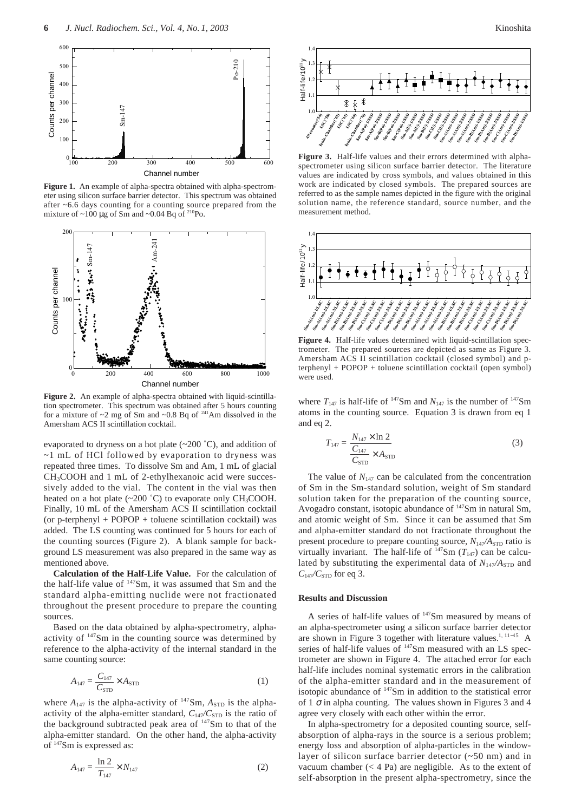

**Figure 1.** An example of alpha-spectra obtained with alpha-spectrometer using silicon surface barrier detector. This spectrum was obtained after ~6.6 days counting for a counting source prepared from the mixture of  $\sim$ 100 µg of Sm and  $\sim$ 0.04 Bq of <sup>210</sup>Po.



**Figure 2.** An example of alpha-spectra obtained with liquid-scintillation spectrometer. This spectrum was obtained after 5 hours counting for a mixture of  $\sim$ 2 mg of Sm and  $\sim$ 0.8 Bq of <sup>241</sup>Am dissolved in the Amersham ACS II scintillation cocktail.

evaporated to dryness on a hot plate (~200 ˚C), and addition of ~1 mL of HCl followed by evaporation to dryness was repeated three times. To dissolve Sm and Am, 1 mL of glacial CH3COOH and 1 mL of 2-ethylhexanoic acid were successively added to the vial. The content in the vial was then heated on a hot plate  $(\sim 200 \degree C)$  to evaporate only CH<sub>3</sub>COOH. Finally, 10 mL of the Amersham ACS II scintillation cocktail (or p-terphenyl + POPOP + toluene scintillation cocktail) was added. The LS counting was continued for 5 hours for each of the counting sources (Figure 2). A blank sample for background LS measurement was also prepared in the same way as mentioned above.

**Calculation of the Half-Life Value.** For the calculation of the half-life value of  $147$ Sm, it was assumed that Sm and the standard alpha-emitting nuclide were not fractionated throughout the present procedure to prepare the counting sources.

Based on the data obtained by alpha-spectrometry, alphaactivity of 147Sm in the counting source was determined by reference to the alpha-activity of the internal standard in the same counting source:

$$
A_{147} = \frac{C_{147}}{C_{\text{STD}}} \times A_{\text{STD}} \tag{1}
$$

where  $A_{147}$  is the alpha-activity of  $147$ Sm,  $A_{STD}$  is the alphaactivity of the alpha-emitter standard,  $C_{147}/C_{STD}$  is the ratio of the background subtracted peak area of <sup>147</sup>Sm to that of the alpha-emitter standard. On the other hand, the alpha-activity of 147Sm is expressed as:

$$
A_{147} = \frac{\ln 2}{T_{147}} \times N_{147}
$$
 (2)



**Figure 3.** Half-life values and their errors determined with alphaspectrometer using silicon surface barrier detector. The literature values are indicated by cross symbols, and values obtained in this work are indicated by closed symbols. The prepared sources are referred to as the sample names depicted in the figure with the original solution name, the reference standard, source number, and the measurement method.



**Figure 4.** Half-life values determined with liquid-scintillation spectrometer. The prepared sources are depicted as same as Figure 3. Amersham ACS II scintillation cocktail (closed symbol) and pterphenyl + POPOP + toluene scintillation cocktail (open symbol) were used.

where  $T_{147}$  is half-life of <sup>147</sup>Sm and  $N_{147}$  is the number of <sup>147</sup>Sm atoms in the counting source. Equation 3 is drawn from eq 1 and eq 2.

$$
T_{147} = \frac{N_{147} \times \ln 2}{\frac{C_{147}}{C_{\text{STD}}} \times A_{\text{STD}}}
$$
 (3)

The value of  $N_{147}$  can be calculated from the concentration of Sm in the Sm-standard solution, weight of Sm standard solution taken for the preparation of the counting source, Avogadro constant, isotopic abundance of  $147$ Sm in natural Sm, and atomic weight of Sm. Since it can be assumed that Sm and alpha-emitter standard do not fractionate throughout the present procedure to prepare counting source,  $N_{147}/A_{\rm STD}$  ratio is virtually invariant. The half-life of  $147$ Sm ( $T_{147}$ ) can be calculated by substituting the experimental data of  $N_{147}/A_{STD}$  and  $C_{147}/C_{STD}$  for eq 3.

# **Results and Discussion**

A series of half-life values of 147Sm measured by means of an alpha-spectrometer using a silicon surface barrier detector are shown in Figure 3 together with literature values.<sup>1, 11−15</sup> A series of half-life values of  $147$ Sm measured with an LS spectrometer are shown in Figure 4. The attached error for each half-life includes nominal systematic errors in the calibration of the alpha-emitter standard and in the measurement of isotopic abundance of 147Sm in addition to the statistical error of 1  $\sigma$  in alpha counting. The values shown in Figures 3 and 4 agree very closely with each other within the error.

In alpha-spectrometry for a deposited counting source, selfabsorption of alpha-rays in the source is a serious problem; energy loss and absorption of alpha-particles in the windowlayer of silicon surface barrier detector (~50 nm) and in vacuum chamber  $(< 4$  Pa) are negligible. As to the extent of self-absorption in the present alpha-spectrometry, since the